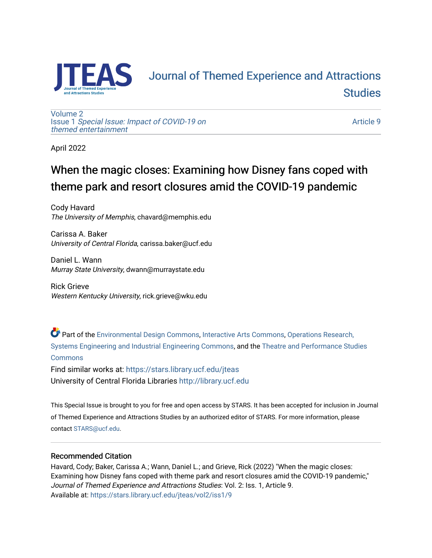

# **FAS** Journal of Themed Experience and Attractions **Studies**

[Volume 2](https://stars.library.ucf.edu/jteas/vol2) Issue 1 [Special Issue: Impact of COVID-19 on](https://stars.library.ucf.edu/jteas/vol2/iss1)  [themed entertainment](https://stars.library.ucf.edu/jteas/vol2/iss1) 

[Article 9](https://stars.library.ucf.edu/jteas/vol2/iss1/9) 

April 2022

## When the magic closes: Examining how Disney fans coped with theme park and resort closures amid the COVID-19 pandemic

Cody Havard The University of Memphis, chavard@memphis.edu

Carissa A. Baker University of Central Florida, carissa.baker@ucf.edu

Daniel L. Wann Murray State University, dwann@murraystate.edu

Rick Grieve Western Kentucky University, rick.grieve@wku.edu

Part of the [Environmental Design Commons,](http://network.bepress.com/hgg/discipline/777?utm_source=stars.library.ucf.edu%2Fjteas%2Fvol2%2Fiss1%2F9&utm_medium=PDF&utm_campaign=PDFCoverPages) [Interactive Arts Commons](http://network.bepress.com/hgg/discipline/1136?utm_source=stars.library.ucf.edu%2Fjteas%2Fvol2%2Fiss1%2F9&utm_medium=PDF&utm_campaign=PDFCoverPages), [Operations Research,](http://network.bepress.com/hgg/discipline/305?utm_source=stars.library.ucf.edu%2Fjteas%2Fvol2%2Fiss1%2F9&utm_medium=PDF&utm_campaign=PDFCoverPages)  [Systems Engineering and Industrial Engineering Commons](http://network.bepress.com/hgg/discipline/305?utm_source=stars.library.ucf.edu%2Fjteas%2Fvol2%2Fiss1%2F9&utm_medium=PDF&utm_campaign=PDFCoverPages), and the [Theatre and Performance Studies](http://network.bepress.com/hgg/discipline/552?utm_source=stars.library.ucf.edu%2Fjteas%2Fvol2%2Fiss1%2F9&utm_medium=PDF&utm_campaign=PDFCoverPages)  **[Commons](http://network.bepress.com/hgg/discipline/552?utm_source=stars.library.ucf.edu%2Fjteas%2Fvol2%2Fiss1%2F9&utm_medium=PDF&utm_campaign=PDFCoverPages)** 

Find similar works at: <https://stars.library.ucf.edu/jteas> University of Central Florida Libraries [http://library.ucf.edu](http://library.ucf.edu/) 

This Special Issue is brought to you for free and open access by STARS. It has been accepted for inclusion in Journal of Themed Experience and Attractions Studies by an authorized editor of STARS. For more information, please contact [STARS@ucf.edu.](mailto:STARS@ucf.edu)

## Recommended Citation

Havard, Cody; Baker, Carissa A.; Wann, Daniel L.; and Grieve, Rick (2022) "When the magic closes: Examining how Disney fans coped with theme park and resort closures amid the COVID-19 pandemic," Journal of Themed Experience and Attractions Studies: Vol. 2: Iss. 1, Article 9. Available at: [https://stars.library.ucf.edu/jteas/vol2/iss1/9](https://stars.library.ucf.edu/jteas/vol2/iss1/9?utm_source=stars.library.ucf.edu%2Fjteas%2Fvol2%2Fiss1%2F9&utm_medium=PDF&utm_campaign=PDFCoverPages)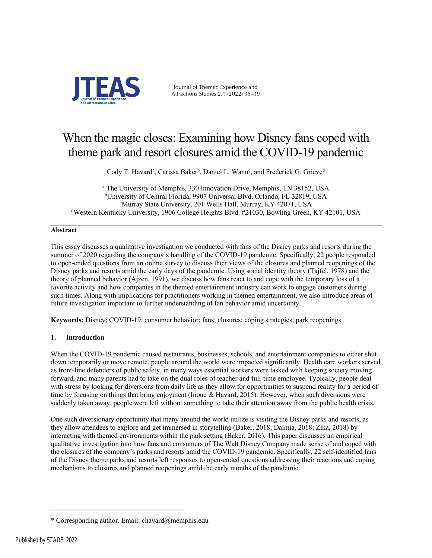

Journal of Themed Experience and Attractions Studies 2.1 (2022) 35–39

## When the magic closes: Examining how Disney fans coped with theme park and resort closures amid the COVID-19 pandemic

Cody T. Havard<sup>a</sup>, Carissa Baker<sup>b</sup>, Daniel L. Wann<sup>c</sup>, and Frederick G. Grieve<sup>d</sup>

<sup>a</sup> The University of Memphis, 330 Innovation Drive, Memphis, TN 38152, USA b University of Central Florida, 9907 Universal Blvd, Orlando, FL 32819, USA c Murray State University, 201 Wells Hall, Murray, KY 42071, USA d Western Kentucky University, 1906 College Heights Blvd. #21030, Bowling Green, KY 42101, USA

## **Abstract**

This essay discusses a qualitative investigation we conducted with fans of the Disney parks and resorts during the summer of 2020 regarding the company's handling of the COVID-19 pandemic. Specifically, 22 people responded to open-ended questions from an online survey to discuss their views of the closures and planned reopenings of the Disney parks and resorts amid the early days of the pandemic. Using social identity theory (Tajfel, 1978) and the theory of planned behavior (Ajzen, 1991), we discuss how fans react to and cope with the temporary loss of a favorite activity and how companies in the themed entertainment industry can work to engage customers during such times. Along with implications for practitioners working in themed entertainment, we also introduce areas of future investigation important to further understanding of fan behavior amid uncertainty.

**Keywords:** Disney; COVID-19; consumer behavior; fans; closures; coping strategies; park reopenings.

## **1. Introduction**

When the COVID-19 pandemic caused restaurants, businesses, schools, and entertainment companies to either shut down temporarily or move remote, people around the world were impacted significantly. Health care workers served as front-line defenders of public safety, in many ways essential workers were tasked with keeping society moving forward, and many parents had to take on the dual roles of teacher and full-time employee. Typically, people deal with stress by looking for diversions from daily life as they allow for opportunities to suspend reality for a period of time by focusing on things that bring enjoyment (Inoue & Havard, 2015). However, when such diversions were suddenly taken away, people were left without something to take their attention away from the public health crisis.

One such diversionary opportunity that many around the world utilize is visiting the Disney parks and resorts, as they allow attendees to explore and get immersed in storytelling (Baker, 2018; Dalmia, 2018; Zika, 2018) by interacting with themed environments within the park setting (Baker, 2016). This paper discusses an empirical qualitative investigation into how fans and consumers of The Walt Disney Company made sense of and coped with the closures of the company's parks and resorts amid the COVID-19 pandemic. Specifically, 22 self-identified fans of the Disney theme parks and resorts left responses to open-ended questions addressing their reactions and coping mechanisms to closures and planned reopenings amid the early months of the pandemic.

<sup>\*</sup> Corresponding author. Email: chavard@memphis.edu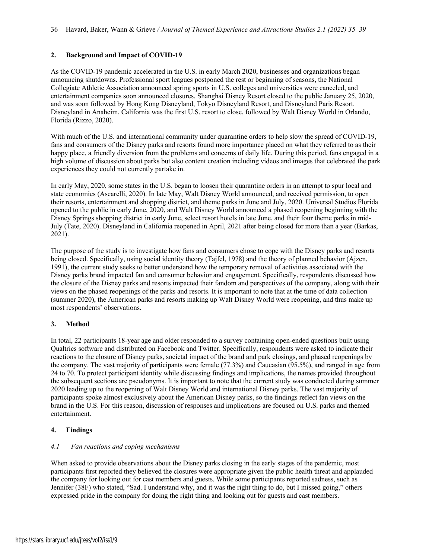## **2. Background and Impact of COVID-19**

As the COVID-19 pandemic accelerated in the U.S. in early March 2020, businesses and organizations began announcing shutdowns. Professional sport leagues postponed the rest or beginning of seasons, the National Collegiate Athletic Association announced spring sports in U.S. colleges and universities were canceled, and entertainment companies soon announced closures. Shanghai Disney Resort closed to the public January 25, 2020, and was soon followed by Hong Kong Disneyland, Tokyo Disneyland Resort, and Disneyland Paris Resort. Disneyland in Anaheim, California was the first U.S. resort to close, followed by Walt Disney World in Orlando, Florida (Rizzo, 2020).

With much of the U.S. and international community under quarantine orders to help slow the spread of COVID-19, fans and consumers of the Disney parks and resorts found more importance placed on what they referred to as their happy place, a friendly diversion from the problems and concerns of daily life. During this period, fans engaged in a high volume of discussion about parks but also content creation including videos and images that celebrated the park experiences they could not currently partake in.

In early May, 2020, some states in the U.S. began to loosen their quarantine orders in an attempt to spur local and state economies (Ascarelli, 2020). In late May, Walt Disney World announced, and received permission, to open their resorts, entertainment and shopping district, and theme parks in June and July, 2020. Universal Studios Florida opened to the public in early June, 2020, and Walt Disney World announced a phased reopening beginning with the Disney Springs shopping district in early June, select resort hotels in late June, and their four theme parks in mid-July (Tate, 2020). Disneyland in California reopened in April, 2021 after being closed for more than a year (Barkas, 2021).

The purpose of the study is to investigate how fans and consumers chose to cope with the Disney parks and resorts being closed. Specifically, using social identity theory (Tajfel, 1978) and the theory of planned behavior (Ajzen, 1991), the current study seeks to better understand how the temporary removal of activities associated with the Disney parks brand impacted fan and consumer behavior and engagement. Specifically, respondents discussed how the closure of the Disney parks and resorts impacted their fandom and perspectives of the company, along with their views on the phased reopenings of the parks and resorts. It is important to note that at the time of data collection (summer 2020), the American parks and resorts making up Walt Disney World were reopening, and thus make up most respondents' observations.

## **3. Method**

In total, 22 participants 18-year age and older responded to a survey containing open-ended questions built using Qualtrics software and distributed on Facebook and Twitter. Specifically, respondents were asked to indicate their reactions to the closure of Disney parks, societal impact of the brand and park closings, and phased reopenings by the company. The vast majority of participants were female (77.3%) and Caucasian (95.5%), and ranged in age from 24 to 70. To protect participant identity while discussing findings and implications, the names provided throughout the subsequent sections are pseudonyms. It is important to note that the current study was conducted during summer 2020 leading up to the reopening of Walt Disney World and international Disney parks. The vast majority of participants spoke almost exclusively about the American Disney parks, so the findings reflect fan views on the brand in the U.S. For this reason, discussion of responses and implications are focused on U.S. parks and themed entertainment.

#### **4. Findings**

#### *4.1 Fan reactions and coping mechanisms*

When asked to provide observations about the Disney parks closing in the early stages of the pandemic, most participants first reported they believed the closures were appropriate given the public health threat and applauded the company for looking out for cast members and guests. While some participants reported sadness, such as Jennifer (38F) who stated, "Sad. I understand why, and it was the right thing to do, but I missed going," others expressed pride in the company for doing the right thing and looking out for guests and cast members.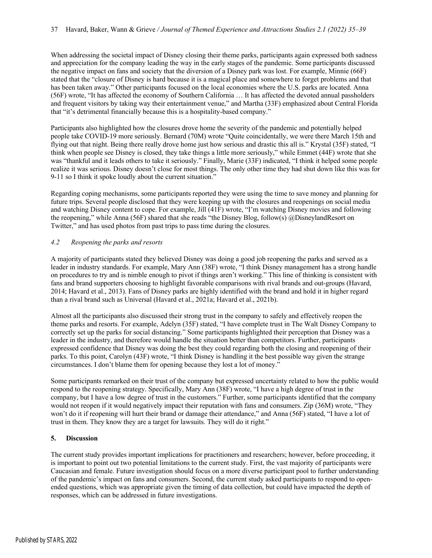When addressing the societal impact of Disney closing their theme parks, participants again expressed both sadness and appreciation for the company leading the way in the early stages of the pandemic. Some participants discussed the negative impact on fans and society that the diversion of a Disney park was lost. For example, Minnie (66F) stated that the "closure of Disney is hard because it is a magical place and somewhere to forget problems and that has been taken away." Other participants focused on the local economies where the U.S. parks are located. Anna (56F) wrote, "It has affected the economy of Southern California … It has affected the devoted annual passholders and frequent visitors by taking way their entertainment venue," and Martha (33F) emphasized about Central Florida that "it's detrimental financially because this is a hospitality-based company."

Participants also highlighted how the closures drove home the severity of the pandemic and potentially helped people take COVID-19 more seriously. Bernard (70M) wrote "Quite coincidentally, we were there March 15th and flying out that night. Being there really drove home just how serious and drastic this all is." Krystal (35F) stated, "I think when people see Disney is closed, they take things a little more seriously," while Emmet (44F) wrote that she was "thankful and it leads others to take it seriously." Finally, Marie (33F) indicated, "I think it helped some people realize it was serious. Disney doesn't close for most things. The only other time they had shut down like this was for 9-11 so I think it spoke loudly about the current situation."

Regarding coping mechanisms, some participants reported they were using the time to save money and planning for future trips. Several people disclosed that they were keeping up with the closures and reopenings on social media and watching Disney content to cope. For example, Jill (41F) wrote, "I'm watching Disney movies and following the reopening," while Anna (56F) shared that she reads "the Disney Blog, follow(s) @DisneylandResort on Twitter," and has used photos from past trips to pass time during the closures.

### *4.2 Reopening the parks and resorts*

A majority of participants stated they believed Disney was doing a good job reopening the parks and served as a leader in industry standards. For example, Mary Ann (38F) wrote, "I think Disney management has a strong handle on procedures to try and is nimble enough to pivot if things aren't working." This line of thinking is consistent with fans and brand supporters choosing to highlight favorable comparisons with rival brands and out-groups (Havard, 2014; Havard et al., 2013). Fans of Disney parks are highly identified with the brand and hold it in higher regard than a rival brand such as Universal (Havard et al., 2021a; Havard et al., 2021b).

Almost all the participants also discussed their strong trust in the company to safely and effectively reopen the theme parks and resorts. For example, Adelyn (35F) stated, "I have complete trust in The Walt Disney Company to correctly set up the parks for social distancing." Some participants highlighted their perception that Disney was a leader in the industry, and therefore would handle the situation better than competitors. Further, participants expressed confidence that Disney was doing the best they could regarding both the closing and reopening of their parks. To this point, Carolyn (43F) wrote, "I think Disney is handling it the best possible way given the strange circumstances. I don't blame them for opening because they lost a lot of money."

Some participants remarked on their trust of the company but expressed uncertainty related to how the public would respond to the reopening strategy. Specifically, Mary Ann (38F) wrote, "I have a high degree of trust in the company, but I have a low degree of trust in the customers." Further, some participants identified that the company would not reopen if it would negatively impact their reputation with fans and consumers. Zip (36M) wrote, "They won't do it if reopening will hurt their brand or damage their attendance," and Anna (56F) stated, "I have a lot of trust in them. They know they are a target for lawsuits. They will do it right."

#### **5. Discussion**

The current study provides important implications for practitioners and researchers; however, before proceeding, it is important to point out two potential limitations to the current study. First, the vast majority of participants were Caucasian and female. Future investigation should focus on a more diverse participant pool to further understanding of the pandemic's impact on fans and consumers. Second, the current study asked participants to respond to openended questions, which was appropriate given the timing of data collection, but could have impacted the depth of responses, which can be addressed in future investigations.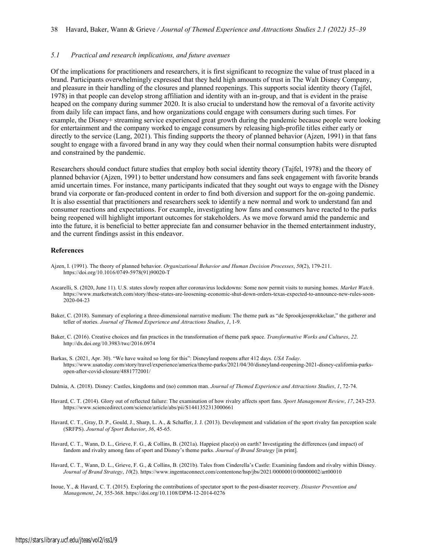#### *5.1 Practical and research implications, and future avenues*

Of the implications for practitioners and researchers, it is first significant to recognize the value of trust placed in a brand. Participants overwhelmingly expressed that they held high amounts of trust in The Walt Disney Company, and pleasure in their handling of the closures and planned reopenings. This supports social identity theory (Tajfel, 1978) in that people can develop strong affiliation and identity with an in-group, and that is evident in the praise heaped on the company during summer 2020. It is also crucial to understand how the removal of a favorite activity from daily life can impact fans, and how organizations could engage with consumers during such times. For example, the Disney+ streaming service experienced great growth during the pandemic because people were looking for entertainment and the company worked to engage consumers by releasing high-profile titles either early or directly to the service (Lang, 2021). This finding supports the theory of planned behavior (Ajzen, 1991) in that fans sought to engage with a favored brand in any way they could when their normal consumption habits were disrupted and constrained by the pandemic.

Researchers should conduct future studies that employ both social identity theory (Tajfel, 1978) and the theory of planned behavior (Ajzen, 1991) to better understand how consumers and fans seek engagement with favorite brands amid uncertain times. For instance, many participants indicated that they sought out ways to engage with the Disney brand via corporate or fan-produced content in order to find both diversion and support for the on-going pandemic. It is also essential that practitioners and researchers seek to identify a new normal and work to understand fan and consumer reactions and expectations. For example, investigating how fans and consumers have reacted to the parks being reopened will highlight important outcomes for stakeholders. As we move forward amid the pandemic and into the future, it is beneficial to better appreciate fan and consumer behavior in the themed entertainment industry, and the current findings assist in this endeavor.

#### **References**

- Ajzen, I. (1991). The theory of planned behavior. *Organizational Behavior and Human Decision Processes*, *50*(2), 179-211. https://doi.org/10.1016/0749-5978(91)90020-T
- Ascarelli, S. (2020, June 11). U.S. states slowly reopen after coronavirus lockdowns: Some now permit visits to nursing homes. *Market Watch*. https://www.marketwatch.com/story/these-states-are-loosening-economic-shut-down-orders-texas-expected-to-announce-new-rules-soon-2020-04-23
- Baker, C. (2018). Summary of exploring a three-dimensional narrative medium: The theme park as "de Sprookjessprokkelaar," the gatherer and teller of stories. *Journal of Themed Experience and Attractions Studies*, *1*, 1-9.
- Baker, C. (2016). Creative choices and fan practices in the transformation of theme park space. *Transformative Works and Cultures*, *22*. http://dx.doi.org/10.3983/twc/2016.0974
- Barkas, S. (2021, Apr. 30). "We have waited so long for this": Disneyland reopens after 412 days. *USA Today*. https://www.usatoday.com/story/travel/experience/america/theme-parks/2021/04/30/disneyland-reopening-2021-disney-california-parksopen-after-covid-closure/4881772001/
- Dalmia, A. (2018). Disney: Castles, kingdoms and (no) common man. *Journal of Themed Experience and Attractions Studies*, *1*, 72-74.
- Havard, C. T. (2014). Glory out of reflected failure: The examination of how rivalry affects sport fans. *Sport Management Review*, *17*, 243-253. https://www.sciencedirect.com/science/article/abs/pii/S1441352313000661
- Havard, C. T., Gray, D. P., Gould, J., Sharp, L. A., & Schaffer, J. J. (2013). Development and validation of the sport rivalry fan perception scale (SRFPS). *Journal of Sport Behavior*, *36*, 45-65.
- Havard, C. T., Wann, D. L., Grieve, F. G., & Collins, B. (2021a). Happiest place(s) on earth? Investigating the differences (and impact) of fandom and rivalry among fans of sport and Disney's theme parks. *Journal of Brand Strategy* [in print].
- Havard, C. T., Wann, D. L., Grieve, F. G., & Collins, B. (2021b). Tales from Cinderella's Castle: Examining fandom and rivalry within Disney. *Journal of Brand Strategy*, *10*(2). https://www.ingentaconnect.com/contentone/hsp/jbs/2021/00000010/00000002/art00010
- Inoue, Y., & Havard, C. T. (2015). Exploring the contributions of spectator sport to the post-disaster recovery. *Disaster Prevention and Management*, *24*, 355-368. https://doi.org/10.1108/DPM-12-2014-0276